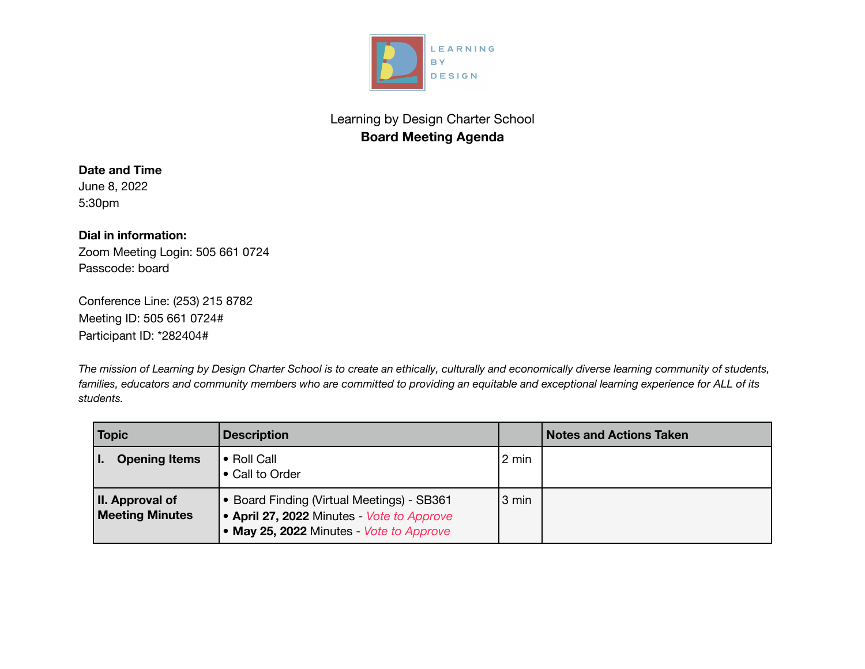

# Learning by Design Charter School **Board Meeting Agenda**

# **Date and Time**

June 8, 2022 5:30pm

## **Dial in information:**

Zoom Meeting Login: 505 661 0724 Passcode: board

Conference Line: (253) 215 8782 Meeting ID: 505 661 0724# Participant ID: \*282404#

The mission of Learning by Design Charter School is to create an ethically, culturally and economically diverse learning community of students, families, educators and community members who are committed to providing an equitable and exceptional learning experience for ALL of its *students.*

| <b>Topic</b>                              | <b>Description</b>                                                                                                                 |                 | <b>Notes and Actions Taken</b> |
|-------------------------------------------|------------------------------------------------------------------------------------------------------------------------------------|-----------------|--------------------------------|
| <b>Opening Items</b>                      | • Roll Call<br>• Call to Order                                                                                                     | $2 \text{ min}$ |                                |
| II. Approval of<br><b>Meeting Minutes</b> | • Board Finding (Virtual Meetings) - SB361<br>• April 27, 2022 Minutes Vote to Approve<br>• May 25, 2022 Minutes - Vote to Approve | 3 min           |                                |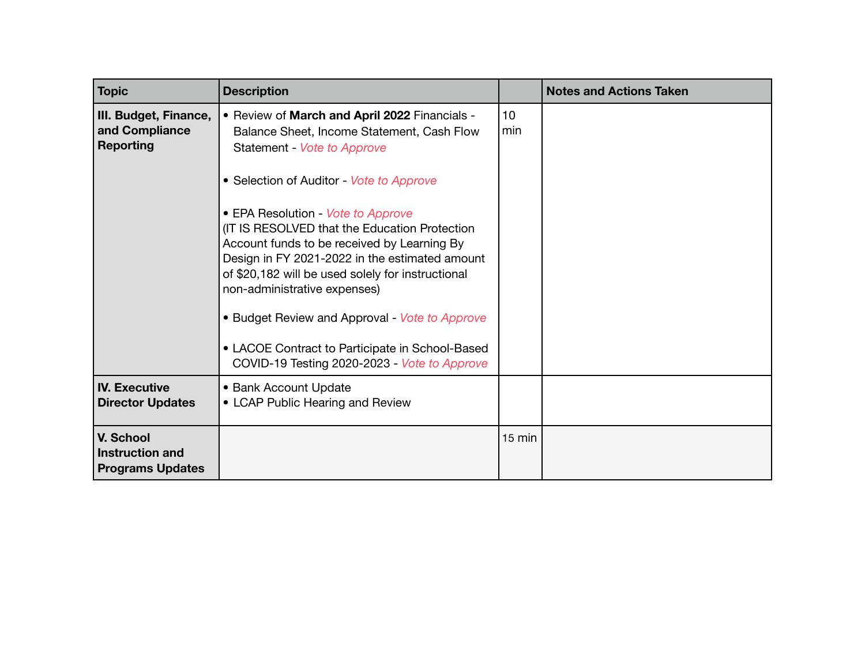| <b>Topic</b>                                                   | <b>Description</b>                                                                                                                                                                                                                                                                                                                                                                                                                                                                                                                                                                                       |           | <b>Notes and Actions Taken</b> |
|----------------------------------------------------------------|----------------------------------------------------------------------------------------------------------------------------------------------------------------------------------------------------------------------------------------------------------------------------------------------------------------------------------------------------------------------------------------------------------------------------------------------------------------------------------------------------------------------------------------------------------------------------------------------------------|-----------|--------------------------------|
| III. Budget, Finance,<br>and Compliance<br><b>Reporting</b>    | • Review of March and April 2022 Financials -<br>Balance Sheet, Income Statement, Cash Flow<br>Statement - Vote to Approve<br>• Selection of Auditor - Vote to Approve<br>• EPA Resolution - Vote to Approve<br>(IT IS RESOLVED that the Education Protection<br>Account funds to be received by Learning By<br>Design in FY 2021-2022 in the estimated amount<br>of \$20,182 will be used solely for instructional<br>non-administrative expenses)<br>• Budget Review and Approval - Vote to Approve<br>• LACOE Contract to Participate in School-Based<br>COVID-19 Testing 2020-2023 - Vote to Approve | 10<br>min |                                |
| <b>IV. Executive</b><br><b>Director Updates</b>                | • Bank Account Update<br>• LCAP Public Hearing and Review                                                                                                                                                                                                                                                                                                                                                                                                                                                                                                                                                |           |                                |
| V. School<br><b>Instruction and</b><br><b>Programs Updates</b> |                                                                                                                                                                                                                                                                                                                                                                                                                                                                                                                                                                                                          | $15$ min  |                                |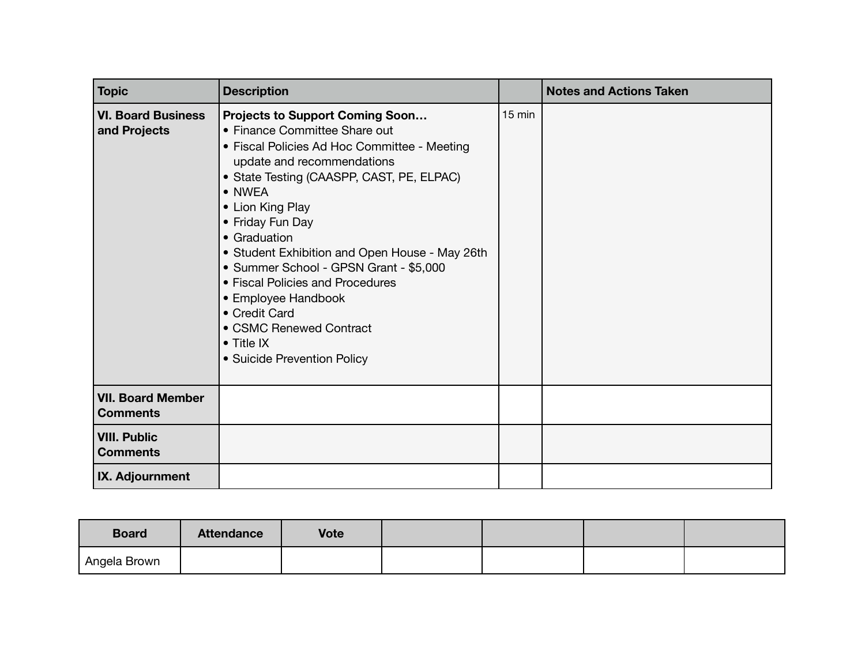| <b>Topic</b>                                | <b>Description</b>                                                                                                                                                                                                                                                                                                                                                                                                                                                                                                           |                  | <b>Notes and Actions Taken</b> |
|---------------------------------------------|------------------------------------------------------------------------------------------------------------------------------------------------------------------------------------------------------------------------------------------------------------------------------------------------------------------------------------------------------------------------------------------------------------------------------------------------------------------------------------------------------------------------------|------------------|--------------------------------|
| <b>VI. Board Business</b><br>and Projects   | <b>Projects to Support Coming Soon</b><br>• Finance Committee Share out<br>• Fiscal Policies Ad Hoc Committee - Meeting<br>update and recommendations<br>• State Testing (CAASPP, CAST, PE, ELPAC)<br>• NWEA<br>• Lion King Play<br>• Friday Fun Day<br>• Graduation<br>• Student Exhibition and Open House - May 26th<br>• Summer School - GPSN Grant - \$5,000<br>• Fiscal Policies and Procedures<br>• Employee Handbook<br>• Credit Card<br>• CSMC Renewed Contract<br>$\bullet$ Title IX<br>• Suicide Prevention Policy | $15 \text{ min}$ |                                |
| <b>VII. Board Member</b><br><b>Comments</b> |                                                                                                                                                                                                                                                                                                                                                                                                                                                                                                                              |                  |                                |
| <b>VIII. Public</b><br><b>Comments</b>      |                                                                                                                                                                                                                                                                                                                                                                                                                                                                                                                              |                  |                                |
| IX. Adjournment                             |                                                                                                                                                                                                                                                                                                                                                                                                                                                                                                                              |                  |                                |

| <b>Board</b> | <b>Attendance</b> | <b>Vote</b> |  |  |
|--------------|-------------------|-------------|--|--|
| Angela Brown |                   |             |  |  |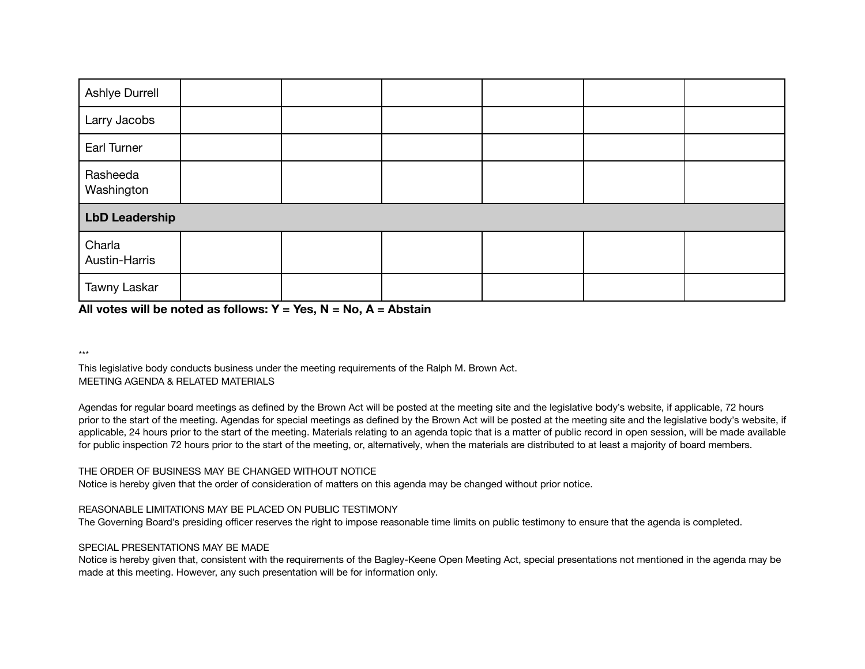| Ashlye Durrell          |  |  |  |  |  |  |
|-------------------------|--|--|--|--|--|--|
| Larry Jacobs            |  |  |  |  |  |  |
| Earl Turner             |  |  |  |  |  |  |
| Rasheeda<br>Washington  |  |  |  |  |  |  |
| <b>LbD Leadership</b>   |  |  |  |  |  |  |
| Charla<br>Austin-Harris |  |  |  |  |  |  |
| Tawny Laskar            |  |  |  |  |  |  |

## **All votes will be noted as follows: Y = Yes, N = No, A = Abstain**

\*\*\*

This legislative body conducts business under the meeting requirements of the Ralph M. Brown Act. MEETING AGENDA & RELATED MATERIALS

Agendas for regular board meetings as defined by the Brown Act will be posted at the meeting site and the legislative body's website, if applicable, 72 hours prior to the start of the meeting. Agendas for special meetings as defined by the Brown Act will be posted at the meeting site and the legislative body's website, if applicable, 24 hours prior to the start of the meeting. Materials relating to an agenda topic that is a matter of public record in open session, will be made available for public inspection 72 hours prior to the start of the meeting, or, alternatively, when the materials are distributed to at least a majority of board members.

#### THE ORDER OF BUSINESS MAY BE CHANGED WITHOUT NOTICE

Notice is hereby given that the order of consideration of matters on this agenda may be changed without prior notice.

#### REASONABLE LIMITATIONS MAY BE PLACED ON PUBLIC TESTIMONY

The Governing Board's presiding officer reserves the right to impose reasonable time limits on public testimony to ensure that the agenda is completed.

#### SPECIAL PRESENTATIONS MAY BE MADE

Notice is hereby given that, consistent with the requirements of the Bagley-Keene Open Meeting Act, special presentations not mentioned in the agenda may be made at this meeting. However, any such presentation will be for information only.